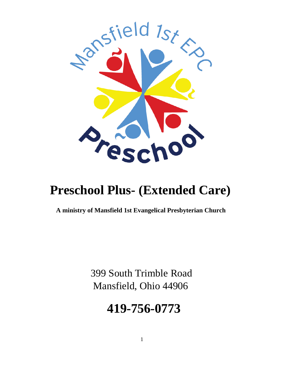

# **Preschool Plus- (Extended Care)**

**A ministry of Mansfield 1st Evangelical Presbyterian Church** 

399 South Trimble Road Mansfield, Ohio 44906

# **419-756-0773**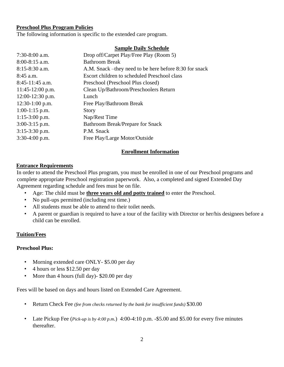#### **Preschool Plus Program Policies**

The following information is specific to the extended care program.

#### **Sample Daily Schedule**

| Drop off/Carpet Play/Free Play (Room 5)                 |
|---------------------------------------------------------|
| <b>Bathroom Break</b>                                   |
| A.M. Snack – they need to be here before 8:30 for snack |
| Escort children to scheduled Preschool class            |
| Preschool (Preschool Plus closed)                       |
| Clean Up/Bathroom/Preschoolers Return                   |
| Lunch                                                   |
| Free Play/Bathroom Break                                |
| Story                                                   |
| Nap/Rest Time                                           |
| <b>Bathroom Break/Prepare for Snack</b>                 |
| P.M. Snack                                              |
| Free Play/Large Motor/Outside                           |
|                                                         |

#### **Enrollment Information**

#### **Entrance Requirements**

In order to attend the Preschool Plus program, you must be enrolled in one of our Preschool programs and complete appropriate Preschool registration paperwork. Also, a completed and signed Extended Day Agreement regarding schedule and fees must be on file.

- Age: The child must be **three years old and potty trained** to enter the Preschool.
- No pull-ups permitted (including rest time.)
- All students must be able to attend to their toilet needs.
- A parent or guardian is required to have a tour of the facility with Director or her/his designees before a child can be enrolled.

## **Tuition/Fees**

#### **Preschool Plus:**

- Morning extended care ONLY- \$5.00 per day
- 4 hours or less \$12.50 per day
- More than 4 hours (full day)- \$20.00 per day

Fees will be based on days and hours listed on Extended Care Agreement.

- Return Check Fee *(fee from checks returned by the bank for insufficient funds)* \$30.00
- Late Pickup Fee (*Pick-up is by 4:00 p.m*.) 4:00-4:10 p.m. -\$5.00 and \$5.00 for every five minutes thereafter.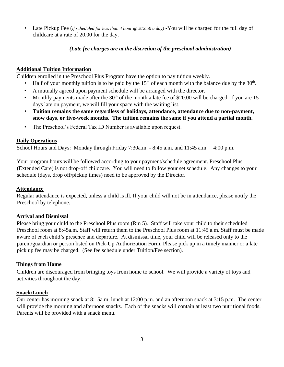• Late Pickup Fee (*if scheduled for less than 4 hour @ \$12.50 a day)* -You will be charged for the full day of childcare at a rate of 20.00 for the day.

## *(Late fee charges are at the discretion of the preschool administration)*

## **Additional Tuition Information**

Children enrolled in the Preschool Plus Program have the option to pay tuition weekly.

- Half of your monthly tuition is to be paid by the  $15<sup>th</sup>$  of each month with the balance due by the  $30<sup>th</sup>$ .
- A mutually agreed upon payment schedule will be arranged with the director.
- Monthly payments made after the  $30<sup>th</sup>$  of the month a late fee of \$20.00 will be charged. If you are 15 days late on payment, we will fill your space with the waiting list.
- **Tuition remains the same regardless of holidays, attendance, attendance due to non-payment, snow days, or five-week months. The tuition remains the same if you attend a partial month.**
- The Preschool's Federal Tax ID Number is available upon request.

## **Daily Operations**

School Hours and Days: Monday through Friday 7:30a.m. - 8:45 a.m. and 11:45 a.m. - 4:00 p.m.

Your program hours will be followed according to your payment/schedule agreement. Preschool Plus (Extended Care) is not drop-off childcare. You will need to follow your set schedule. Any changes to your schedule (days, drop off/pickup times) need to be approved by the Director.

## **Attendance**

Regular attendance is expected, unless a child is ill. If your child will not be in attendance, please notify the Preschool by telephone.

# **Arrival and Dismissal**

Please bring your child to the Preschool Plus room (Rm 5). Staff will take your child to their scheduled Preschool room at 8:45a.m. Staff will return them to the Preschool Plus room at 11:45 a.m. Staff must be made aware of each child's presence and departure. At dismissal time, your child will be released only to the parent/guardian or person listed on Pick-Up Authorization Form. Please pick up in a timely manner or a late pick up fee may be charged. (See fee schedule under Tuition/Fee section).

## **Things from Home**

Children are discouraged from bringing toys from home to school. We will provide a variety of toys and activities throughout the day.

## **Snack/Lunch**

Our center has morning snack at 8:15a.m, lunch at 12:00 p.m. and an afternoon snack at 3:15 p.m. The center will provide the morning and afternoon snacks. Each of the snacks will contain at least two nutritional foods. Parents will be provided with a snack menu.